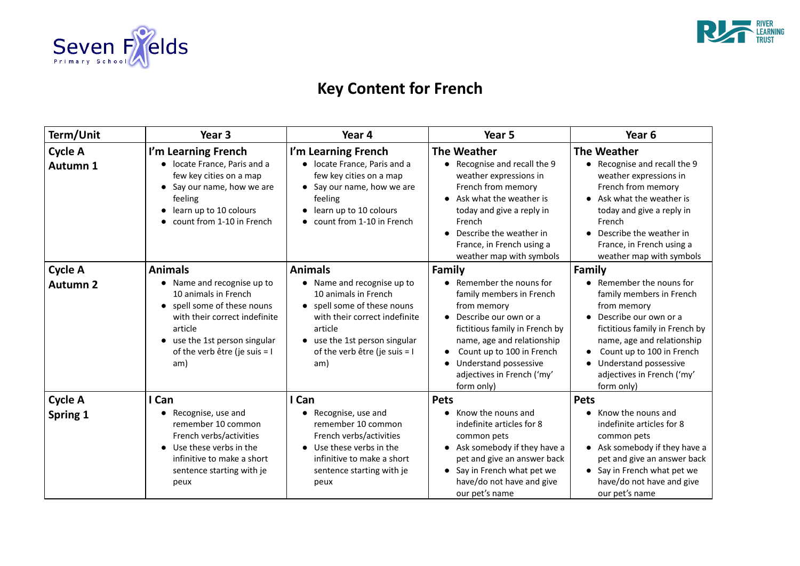

# **Key Content for French**

| Term/Unit                         | Year 3                                                                                                                                                                                                                                       | Year 4                                                                                                                                                                                                                 | Year 5                                                                                                                                                                                                                                                                        | Year 6                                                                                                                                                                                               |
|-----------------------------------|----------------------------------------------------------------------------------------------------------------------------------------------------------------------------------------------------------------------------------------------|------------------------------------------------------------------------------------------------------------------------------------------------------------------------------------------------------------------------|-------------------------------------------------------------------------------------------------------------------------------------------------------------------------------------------------------------------------------------------------------------------------------|------------------------------------------------------------------------------------------------------------------------------------------------------------------------------------------------------|
| <b>Cycle A</b><br><b>Autumn 1</b> | I'm Learning French<br>locate France, Paris and a<br>few key cities on a map<br>Say our name, how we are<br>feeling<br>learn up to 10 colours<br>count from 1-10 in French                                                                   | I'm Learning French<br>• locate France, Paris and a<br>few key cities on a map<br>Say our name, how we are<br>feeling<br>learn up to 10 colours<br>count from 1-10 in French                                           | <b>The Weather</b><br>• Recognise and recall the 9<br>weather expressions in<br>French from memory<br>• Ask what the weather is<br>today and give a reply in<br>French<br>Describe the weather in<br>France, in French using a<br>weather map with symbols                    | <b>The Weather</b><br>Recognise and r<br>weather expres:<br>French from me<br>Ask what the wo<br>today and give a<br>French<br>Describe the we<br>France, in Frenc<br>weather map w                  |
| <b>Cycle A</b><br><b>Autumn 2</b> | <b>Animals</b><br>Name and recognise up to<br>10 animals in French<br>spell some of these nouns<br>$\bullet$<br>with their correct indefinite<br>article<br>use the 1st person singular<br>$\bullet$<br>of the verb être (je suis = I<br>am) | <b>Animals</b><br>• Name and recognise up to<br>10 animals in French<br>spell some of these nouns<br>with their correct indefinite<br>article<br>use the 1st person singular<br>of the verb être (je suis = $I$<br>am) | <b>Family</b><br>Remember the nouns for<br>family members in French<br>from memory<br>Describe our own or a<br>fictitious family in French by<br>name, age and relationship<br>Count up to 100 in French<br>Understand possessive<br>adjectives in French ('my'<br>form only) | Family<br>Remember the<br>family members<br>from memory<br>Describe our ow<br>$\bullet$<br>fictitious family<br>name, age and<br>Count up to 10<br>Understand pos<br>adjectives in Fre<br>form only) |
| <b>Cycle A</b><br><b>Spring 1</b> | I Can<br>Recognise, use and<br>remember 10 common<br>French verbs/activities<br>Use these verbs in the<br>$\bullet$<br>infinitive to make a short<br>sentence starting with je<br>peux                                                       | I Can<br>Recognise, use and<br>remember 10 common<br>French verbs/activities<br>Use these verbs in the<br>infinitive to make a short<br>sentence starting with je<br>peux                                              | <b>Pets</b><br>Know the nouns and<br>indefinite articles for 8<br>common pets<br>Ask somebody if they have a<br>pet and give an answer back<br>• Say in French what pet we<br>have/do not have and give<br>our pet's name                                                     | <b>Pets</b><br>Know the nouns<br>indefinite article<br>common pets<br>Ask somebody i<br>pet and give an<br>Say in French w<br>have/do not hav<br>our pet's name                                      |



### **Teather**

ecognise and recall the 9 veather expressions in rench from memory sk what the weather is oday and give a reply in rench escribe the weather in

rance, in French using a eather map with symbols

emember the nouns for amily members in French om memory escribe our own or a ctitious family in French by ame, age and relationship Count up to 100 in French Inderstand possessive djectives in French ('my'  $\mathsf{m}$  only)

now the nouns and definite articles for 8 ommon pets sk somebody if they have a et and give an answer back ay in French what pet we ave/do not have and give ur pet's name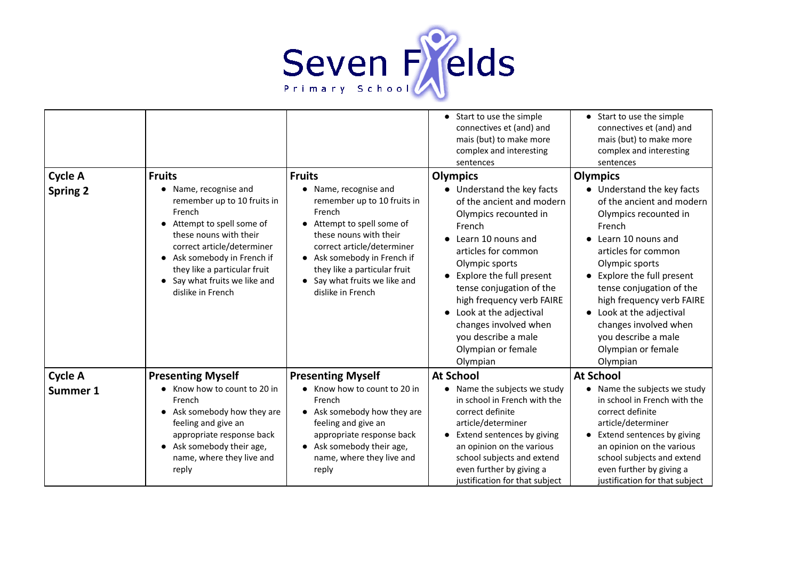

| <b>Cycle A</b><br><b>Spring 2</b> | <b>Fruits</b><br>Name, recognise and<br>remember up to 10 fruits in<br>French<br>Attempt to spell some of<br>these nouns with their<br>correct article/determiner<br>Ask somebody in French if<br>they like a particular fruit<br>Say what fruits we like and<br>dislike in French | <b>Fruits</b><br>Name, recognise and<br>remember up to 10 fruits in<br>French<br>Attempt to spell some of<br>these nouns with their<br>correct article/determiner<br>Ask somebody in French if<br>they like a particular fruit<br>Say what fruits we like and<br>dislike in French | Start to use the simple<br>connectives et (and) and<br>mais (but) to make more<br>complex and interesting<br>sentences<br><b>Olympics</b><br>Understand the key facts<br>of the ancient and modern<br>Olympics recounted in<br>French<br>Learn 10 nouns and<br>$\bullet$<br>articles for common<br>Olympic sports<br>Explore the full present<br>tense conjugation of the<br>high frequency verb FAIRE<br>Look at the adjectival<br>changes involved when<br>you describe a male<br>Olympian or female<br>Olympian | $\bullet$ St<br>$_{\rm CO}$<br>m<br>$_{\rm CO}$<br>se<br>Olymp<br>ାଧ<br>0f<br> O <br>Fr<br><b>Le</b><br>ar<br> O <br>$\bullet$ Ex<br>te<br>hi<br><b>Lc</b><br>ch<br>yc<br> O <br> O |
|-----------------------------------|------------------------------------------------------------------------------------------------------------------------------------------------------------------------------------------------------------------------------------------------------------------------------------|------------------------------------------------------------------------------------------------------------------------------------------------------------------------------------------------------------------------------------------------------------------------------------|--------------------------------------------------------------------------------------------------------------------------------------------------------------------------------------------------------------------------------------------------------------------------------------------------------------------------------------------------------------------------------------------------------------------------------------------------------------------------------------------------------------------|-------------------------------------------------------------------------------------------------------------------------------------------------------------------------------------|
| <b>Cycle A</b>                    | <b>Presenting Myself</b>                                                                                                                                                                                                                                                           | <b>Presenting Myself</b>                                                                                                                                                                                                                                                           | <b>At School</b>                                                                                                                                                                                                                                                                                                                                                                                                                                                                                                   | At Sch                                                                                                                                                                              |
| Summer 1                          | Know how to count to 20 in<br>French<br>Ask somebody how they are<br>feeling and give an<br>appropriate response back<br>Ask somebody their age,<br>name, where they live and<br>reply                                                                                             | Know how to count to 20 in<br>French<br>Ask somebody how they are<br>feeling and give an<br>appropriate response back<br>Ask somebody their age,<br>$\bullet$<br>name, where they live and<br>reply                                                                                | Name the subjects we study<br>in school in French with the<br>correct definite<br>article/determiner<br>Extend sentences by giving<br>an opinion on the various<br>school subjects and extend<br>even further by giving a<br>justification for that subject                                                                                                                                                                                                                                                        | $\bullet$ Na<br>in<br>$_{\rm CO}$<br>ar<br>Ex<br>ar<br>SC<br>ev<br>ju.                                                                                                              |

tart to use the simple onnectives et (and) and ais (but) to make more omplex and interesting entences

### **Olympics**

nderstand the key facts the ancient and modern lympics recounted in ench earn 10 nouns and ticles for common lympic sports xplore the full present ense conjugation of the igh frequency verb FAIRE ook at the adjectival nanges involved when ou describe a male lympian or female lympian

## **A**ool

lame the subjects we study school in French with the orrect definite ticle/determiner **xtend sentences by giving** n opinion on the various chool subjects and extend ven further by giving a ustification for that subject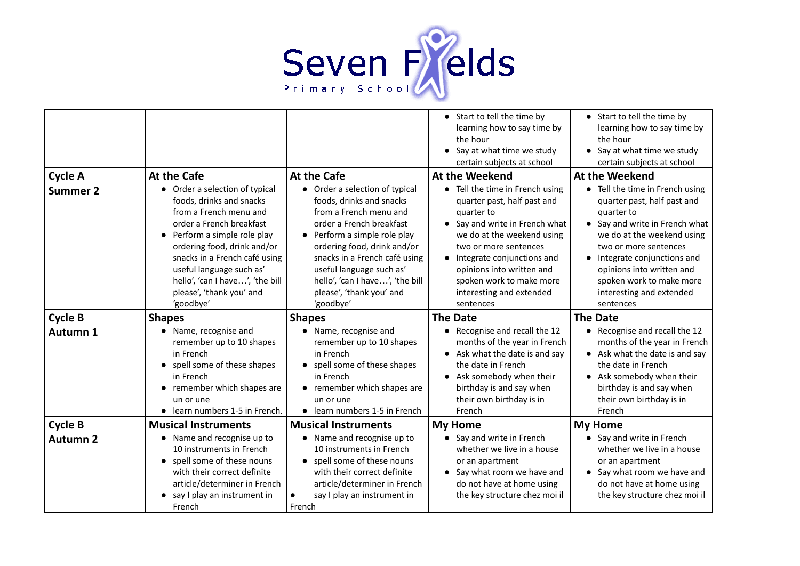

|                 |                                                                                                                                                                                                                                                                                                                      |                                                                                                                                                                                                                                                                                                                          | Start to tell the time by<br>learning how to say time by<br>the hour<br>Say at what time we study<br>certain subjects at school                                                                                                                                                                   | $\bullet$ St<br>le<br>th<br>$\bullet$ Sa<br>ce                                                                        |
|-----------------|----------------------------------------------------------------------------------------------------------------------------------------------------------------------------------------------------------------------------------------------------------------------------------------------------------------------|--------------------------------------------------------------------------------------------------------------------------------------------------------------------------------------------------------------------------------------------------------------------------------------------------------------------------|---------------------------------------------------------------------------------------------------------------------------------------------------------------------------------------------------------------------------------------------------------------------------------------------------|-----------------------------------------------------------------------------------------------------------------------|
| <b>Cycle A</b>  | <b>At the Cafe</b>                                                                                                                                                                                                                                                                                                   | <b>At the Cafe</b>                                                                                                                                                                                                                                                                                                       | <b>At the Weekend</b>                                                                                                                                                                                                                                                                             | At the                                                                                                                |
| <b>Summer 2</b> | Order a selection of typical<br>foods, drinks and snacks<br>from a French menu and<br>order a French breakfast<br>Perform a simple role play<br>ordering food, drink and/or<br>snacks in a French café using<br>useful language such as'<br>hello', 'can I have', 'the bill<br>please', 'thank you' and<br>'goodbye' | • Order a selection of typical<br>foods, drinks and snacks<br>from a French menu and<br>order a French breakfast<br>• Perform a simple role play<br>ordering food, drink and/or<br>snacks in a French café using<br>useful language such as'<br>hello', 'can I have', 'the bill<br>please', 'thank you' and<br>'goodbye' | Tell the time in French using<br>quarter past, half past and<br>quarter to<br>Say and write in French what<br>we do at the weekend using<br>two or more sentences<br>Integrate conjunctions and<br>opinions into written and<br>spoken work to make more<br>interesting and extended<br>sentences | $\bullet$ Te<br>qu<br>qu<br>$\bullet$ Sa<br>W <sub>(</sub><br>tw<br>$\bullet$ In<br>op<br>sp<br>in <sup>.</sup><br>se |
| <b>Cycle B</b>  | <b>Shapes</b>                                                                                                                                                                                                                                                                                                        | <b>Shapes</b>                                                                                                                                                                                                                                                                                                            | <b>The Date</b>                                                                                                                                                                                                                                                                                   | <b>The Da</b>                                                                                                         |
| <b>Autumn 1</b> | Name, recognise and<br>remember up to 10 shapes<br>in French<br>spell some of these shapes<br>in French<br>remember which shapes are<br>un or une<br>learn numbers 1-5 in French.                                                                                                                                    | • Name, recognise and<br>remember up to 10 shapes<br>in French<br>spell some of these shapes<br>in French<br>• remember which shapes are<br>un or une<br>learn numbers 1-5 in French<br>$\bullet$                                                                                                                        | Recognise and recall the 12<br>months of the year in French<br>Ask what the date is and say<br>the date in French<br>Ask somebody when their<br>birthday is and say when<br>their own birthday is in<br>French                                                                                    | $\bullet$ Re<br>m<br>$\bullet$ As<br>th<br>$\bullet$ As<br>bi<br>th<br>Fr                                             |
| <b>Cycle B</b>  | <b>Musical Instruments</b>                                                                                                                                                                                                                                                                                           | <b>Musical Instruments</b>                                                                                                                                                                                                                                                                                               | <b>My Home</b>                                                                                                                                                                                                                                                                                    | My Ho                                                                                                                 |
| <b>Autumn 2</b> | Name and recognise up to<br>10 instruments in French<br>spell some of these nouns<br>with their correct definite<br>article/determiner in French<br>say I play an instrument in<br>French                                                                                                                            | Name and recognise up to<br>10 instruments in French<br>spell some of these nouns<br>with their correct definite<br>article/determiner in French<br>say I play an instrument in<br>French                                                                                                                                | Say and write in French<br>whether we live in a house<br>or an apartment<br>Say what room we have and<br>do not have at home using<br>the key structure chez moi il                                                                                                                               | - Sa<br>W<br>or<br>-Sa<br>dc<br>th                                                                                    |

tart to tell the time by arning how to say time by e hour

ay at what time we study ertain subjects at school

### **Weekend**

ell the time in French using uarter past, half past and uarter to

ay and write in French what e do at the weekend using vo or more sentences tegrate conjunctions and pinions into written and oken work to make more iteresting and extended entences

### **ate**

ecognise and recall the 12 onths of the year in French sk what the date is and say e date in French sk somebody when their irthday is and say when eir own birthday is in ench

#### **me**

ay and write in French hether we live in a house an apartment ay what room we have and o not have at home using e key structure chez moi il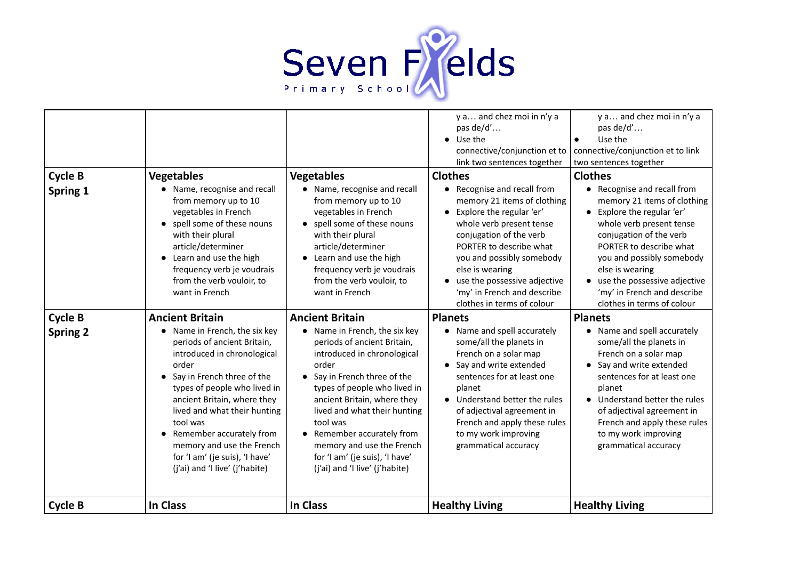#### **Clothes**

ecognise and recall from memory 21 items of clothing splore the regular 'er' whole verb present tense onjugation of the verb ORTER to describe what ou and possibly somebody se is wearing se the possessive adjective

ny' in French and describe othes in terms of colour



a... and chez moi in n'y a as de/d'…

- se the
- ive/conjunction et to link tences together

#### **Planets**

ame and spell accurately some/all the planets in rench on a solar map ay and write extended entences for at least one lanet

nderstand better the rules f adjectival agreement in rench and apply these rules my work improving rammatical accuracy